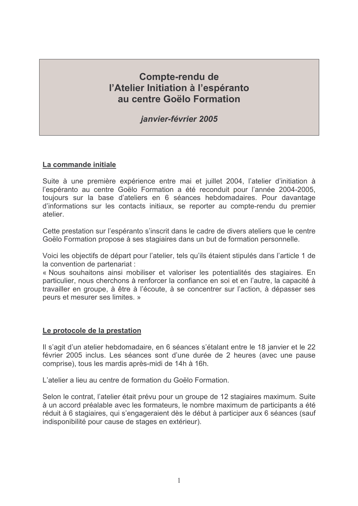# **Compte-rendu de** l'Atelier Initiation à l'espéranto au centre Goëlo Formation

*ianvier-février 2005* 

#### La commande initiale

Suite à une première expérience entre mai et juillet 2004, l'atelier d'initiation à l'espéranto au centre Goëlo Formation a été reconduit pour l'année 2004-2005. toujours sur la base d'ateliers en 6 séances hebdomadaires. Pour davantage d'informations sur les contacts initiaux, se reporter au compte-rendu du premier atelier

Cette prestation sur l'espéranto s'inscrit dans le cadre de divers ateliers que le centre Goëlo Formation propose à ses stagiaires dans un but de formation personnelle.

Voici les objectifs de départ pour l'atelier, tels qu'ils étaient stipulés dans l'article 1 de la convention de partenariat :

« Nous souhaitons ainsi mobiliser et valoriser les potentialités des stagiaires. En particulier, nous cherchons à renforcer la confiance en soi et en l'autre, la capacité à travailler en groupe, à être à l'écoute, à se concentrer sur l'action, à dépasser ses peurs et mesurer ses limites. »

#### Le protocole de la prestation

Il s'agit d'un atelier hebdomadaire, en 6 séances s'étalant entre le 18 janvier et le 22 février 2005 inclus. Les séances sont d'une durée de 2 heures (avec une pause comprise), tous les mardis après-midi de 14h à 16h.

L'atelier a lieu au centre de formation du Goëlo Formation

Selon le contrat, l'atelier était prévu pour un groupe de 12 stagiaires maximum. Suite à un accord préalable avec les formateurs, le nombre maximum de participants a été réduit à 6 stagiaires, qui s'engageraient dès le début à participer aux 6 séances (sauf indisponibilité pour cause de stages en extérieur).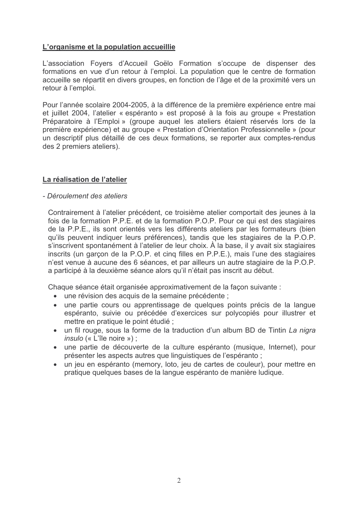### L'organisme et la population accueillie

L'association Foyers d'Accueil Goëlo Formation s'occupe de dispenser des formations en vue d'un retour à l'emploi. La population que le centre de formation accueille se répartit en divers groupes, en fonction de l'âge et de la proximité vers un retour à l'emploi.

Pour l'année scolaire 2004-2005, à la différence de la première expérience entre mai et juillet 2004, l'atelier « espéranto » est proposé à la fois au groupe « Prestation Préparatoire à l'Emploi » (groupe auquel les ateliers étaient réservés lors de la première expérience) et au groupe « Prestation d'Orientation Professionnelle » (pour un descriptif plus détaillé de ces deux formations, se reporter aux comptes-rendus des 2 premiers ateliers).

#### La réalisation de l'atelier

#### - Déroulement des ateliers

Contrairement à l'atelier précédent, ce troisième atelier comportait des jeunes à la fois de la formation P.P.E. et de la formation P.O.P. Pour ce qui est des stagiaires de la P.P.E., ils sont orientés vers les différents ateliers par les formateurs (bien qu'ils peuvent indiquer leurs préférences), tandis que les stagiaires de la P.O.P. s'inscrivent spontanément à l'atelier de leur choix. À la base, il y avait six stagiaires inscrits (un garcon de la P.O.P. et cing filles en P.P.E.), mais l'une des stagiaires n'est venue à aucune des 6 séances, et par ailleurs un autre stagiaire de la P.O.P. a participé à la deuxième séance alors qu'il n'était pas inscrit au début.

Chaque séance était organisée approximativement de la façon suivante :

- une révision des acquis de la semaine précédente ;
- une partie cours ou apprentissage de quelques points précis de la langue espéranto, suivie ou précédée d'exercices sur polycopiés pour illustrer et mettre en pratique le point étudié :
- un fil rouge, sous la forme de la traduction d'un album BD de Tintin La nigra *insulo* («  $L$ 'île noire »);
- une partie de découverte de la culture espéranto (musique, Internet), pour présenter les aspects autres que linguistiques de l'espéranto ;
- un jeu en espéranto (memory, loto, jeu de cartes de couleur), pour mettre en pratique quelques bases de la langue espéranto de manière ludique.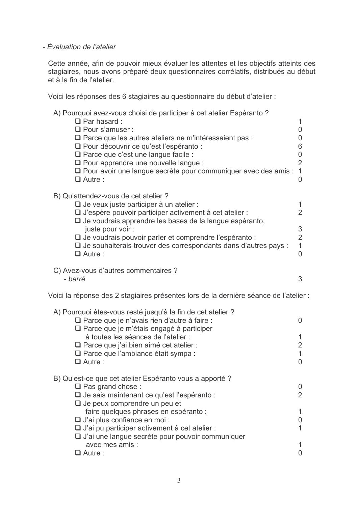## - Évaluation de l'atelier

Cette année, afin de pouvoir mieux évaluer les attentes et les objectifs atteints des stagiaires, nous avons préparé deux questionnaires corrélatifs, distribués au début et à la fin de l'atelier.

Voici les réponses des 6 stagiaires au questionnaire du début d'atelier :

| A) Pourquoi avez-vous choisi de participer à cet atelier Espéranto?<br>$\Box$ Par hasard :<br>□ Pour s'amuser :<br>$\Box$ Parce que les autres ateliers ne m'intéressaient pas :<br>□ Pour découvrir ce qu'est l'espéranto :<br>$\Box$ Parce que c'est une langue facile :<br>$\Box$ Pour apprendre une nouvelle langue :<br>□ Pour avoir une langue secrète pour communiquer avec des amis :<br>$\Box$ Autre: | 1<br>0<br>0<br>6<br>0<br>$\overline{2}$<br>1<br>0               |
|----------------------------------------------------------------------------------------------------------------------------------------------------------------------------------------------------------------------------------------------------------------------------------------------------------------------------------------------------------------------------------------------------------------|-----------------------------------------------------------------|
| B) Qu'attendez-vous de cet atelier ?<br>$\Box$ Je veux juste participer à un atelier :<br>$\Box$ J'espère pouvoir participer activement à cet atelier :<br>$\Box$ Je voudrais apprendre les bases de la langue espéranto,<br>juste pour voir :<br>□ Je voudrais pouvoir parler et comprendre l'espéranto :<br>$\Box$ Je souhaiterais trouver des correspondants dans d'autres pays :<br>$\Box$ Autre :         | 1<br>$\overline{2}$<br>3<br>$\overline{2}$<br>$\mathbf{1}$<br>0 |
| C) Avez-vous d'autres commentaires ?<br>- barré                                                                                                                                                                                                                                                                                                                                                                | 3                                                               |
| Voici la réponse des 2 stagiaires présentes lors de la dernière séance de l'atelier                                                                                                                                                                                                                                                                                                                            |                                                                 |
| A) Pourquoi êtes-vous resté jusqu'à la fin de cet atelier ?<br>□ Parce que je n'avais rien d'autre à faire :<br>$\Box$ Parce que je m'étais engagé à participer<br>à toutes les séances de l'atelier :<br>$\Box$ Parce que j'ai bien aimé cet atelier :<br>$\Box$ Parce que l'ambiance était sympa :<br>$\Box$ Autre:                                                                                          | 0<br>1<br>$\overline{2}$<br>1<br>0                              |
| B) Qu'est-ce que cet atelier Espéranto vous a apporté ?<br>$\Box$ Pas grand chose :<br>□ Je sais maintenant ce qu'est l'espéranto :<br>$\Box$ Je peux comprendre un peu et<br>faire quelques phrases en espéranto :<br>□ J'ai plus confiance en moi :<br>$\Box$ J'ai pu participer activement à cet atelier :<br>$\Box$ J'ai une langue secrète pour pouvoir communiquer<br>avec mes amis :<br>$\Box$ Autre :  | 0<br>$\overline{2}$<br>1<br>0<br>1<br>0                         |
|                                                                                                                                                                                                                                                                                                                                                                                                                |                                                                 |

÷.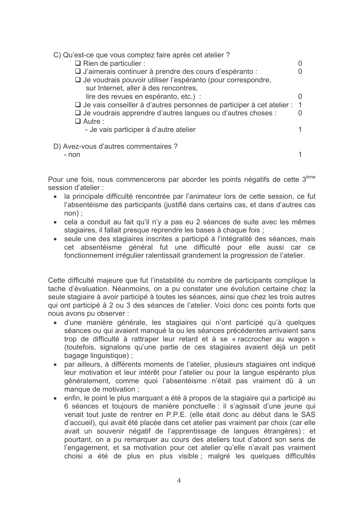| C) Qu'est-ce que vous comptez faire après cet atelier ?<br>$\Box$ Rien de particulier :<br>$\Box$ J'aimerais continuer à prendre des cours d'espéranto :<br>□ Je voudrais pouvoir utiliser l'espéranto (pour correspondre,<br>sur Internet, aller à des rencontres, |  |
|---------------------------------------------------------------------------------------------------------------------------------------------------------------------------------------------------------------------------------------------------------------------|--|
| lire des revues en espéranto, etc.) :                                                                                                                                                                                                                               |  |
| $\Box$ Je vais conseiller à d'autres personnes de participer à cet atelier :                                                                                                                                                                                        |  |
| $\Box$ Je voudrais apprendre d'autres langues ou d'autres choses :                                                                                                                                                                                                  |  |
| $\Box$ Autre :                                                                                                                                                                                                                                                      |  |
| - Je vais participer à d'autre atelier                                                                                                                                                                                                                              |  |
| D) Avez-vous d'autres commentaires ?<br>- non                                                                                                                                                                                                                       |  |

Pour une fois, nous commencerons par aborder les points négatifs de cette 3<sup>ème</sup> session d'atelier :

- · la principale difficulté rencontrée par l'animateur lors de cette session, ce fut l'absentéisme des participants (justifié dans certains cas, et dans d'autres cas  $non):$
- cela a conduit au fait qu'il n'y a pas eu 2 séances de suite avec les mêmes stagiaires, il fallait presque reprendre les bases à chaque fois :
- seule une des stagiaires inscrites a participé à l'intégralité des séances, mais cet absentéisme général fut une difficulté pour elle aussi car ce fonctionnement irrégulier ralentissait grandement la progression de l'atelier.

Cette difficulté majeure que fut l'instabilité du nombre de participants complique la tache d'évaluation. Néanmoins, on a pu constater une évolution certaine chez la seule stagiaire à avoir participé à toutes les séances, ainsi que chez les trois autres qui ont participé à 2 ou 3 des séances de l'atelier. Voici donc ces points forts que nous avons pu observer :

- d'une manière générale, les stagiaires qui n'ont participé qu'à quelques  $\bullet$ séances ou qui avaient manqué la ou les séances précédentes arrivaient sans trop de difficulté à rattraper leur retard et à se « raccrocher au wagon » (toutefois, signalons qu'une partie de ces stagiaires avaient déjà un petit bagage linguistique);
- $\bullet$ par ailleurs, à différents moments de l'atelier, plusieurs stagiaires ont indiqué leur motivation et leur intérêt pour l'atelier ou pour la langue espéranto plus généralement, comme quoi l'absentéisme n'était pas vraiment dû à un manque de motivation :
- enfin, le point le plus marquant a été à propos de la stagiaire qui a participé au 6 séances et toujours de manière ponctuelle : il s'agissait d'une jeune qui venait tout juste de rentrer en P.P.E. (elle était donc au début dans le SAS d'accueil), qui avait été placée dans cet atelier pas vraiment par choix (car elle avait un souvenir négatif de l'apprentissage de langues étrangères) : et pourtant, on a pu remarquer au cours des ateliers tout d'abord son sens de l'engagement, et sa motivation pour cet atelier qu'elle n'avait pas vraiment choisi a été de plus en plus visible ; malgré les quelques difficultés